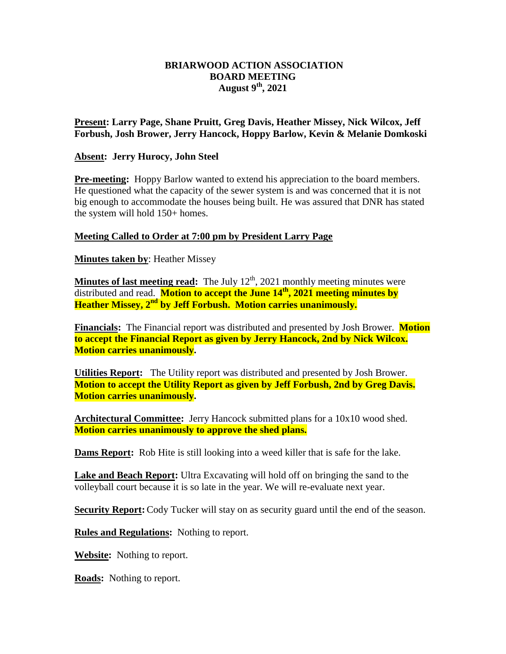# **BRIARWOOD ACTION ASSOCIATION BOARD MEETING August 9 th, 2021**

**Present: Larry Page, Shane Pruitt, Greg Davis, Heather Missey, Nick Wilcox, Jeff Forbush, Josh Brower, Jerry Hancock, Hoppy Barlow, Kevin & Melanie Domkoski**

### **Absent: Jerry Hurocy, John Steel**

**Pre-meeting:** Hoppy Barlow wanted to extend his appreciation to the board members. He questioned what the capacity of the sewer system is and was concerned that it is not big enough to accommodate the houses being built. He was assured that DNR has stated the system will hold 150+ homes.

#### **Meeting Called to Order at 7:00 pm by President Larry Page**

**Minutes taken by**: Heather Missey

**Minutes of last meeting read:** The July 12<sup>th</sup>, 2021 monthly meeting minutes were distributed and read. **Motion to accept the June 14 th, 2021 meeting minutes by Heather Missey, 2nd by Jeff Forbush. Motion carries unanimously.**

**Financials:** The Financial report was distributed and presented by Josh Brower. **Motion to accept the Financial Report as given by Jerry Hancock, 2nd by Nick Wilcox. Motion carries unanimously.** 

**Utilities Report:** The Utility report was distributed and presented by Josh Brower. **Motion to accept the Utility Report as given by Jeff Forbush, 2nd by Greg Davis. Motion carries unanimously.** 

**Architectural Committee:** Jerry Hancock submitted plans for a 10x10 wood shed. **Motion carries unanimously to approve the shed plans.**

**Dams Report:** Rob Hite is still looking into a weed killer that is safe for the lake.

**Lake and Beach Report:** Ultra Excavating will hold off on bringing the sand to the volleyball court because it is so late in the year. We will re-evaluate next year.

**Security Report:** Cody Tucker will stay on as security guard until the end of the season.

**Rules and Regulations:** Nothing to report.

**Website:** Nothing to report.

**Roads:** Nothing to report.